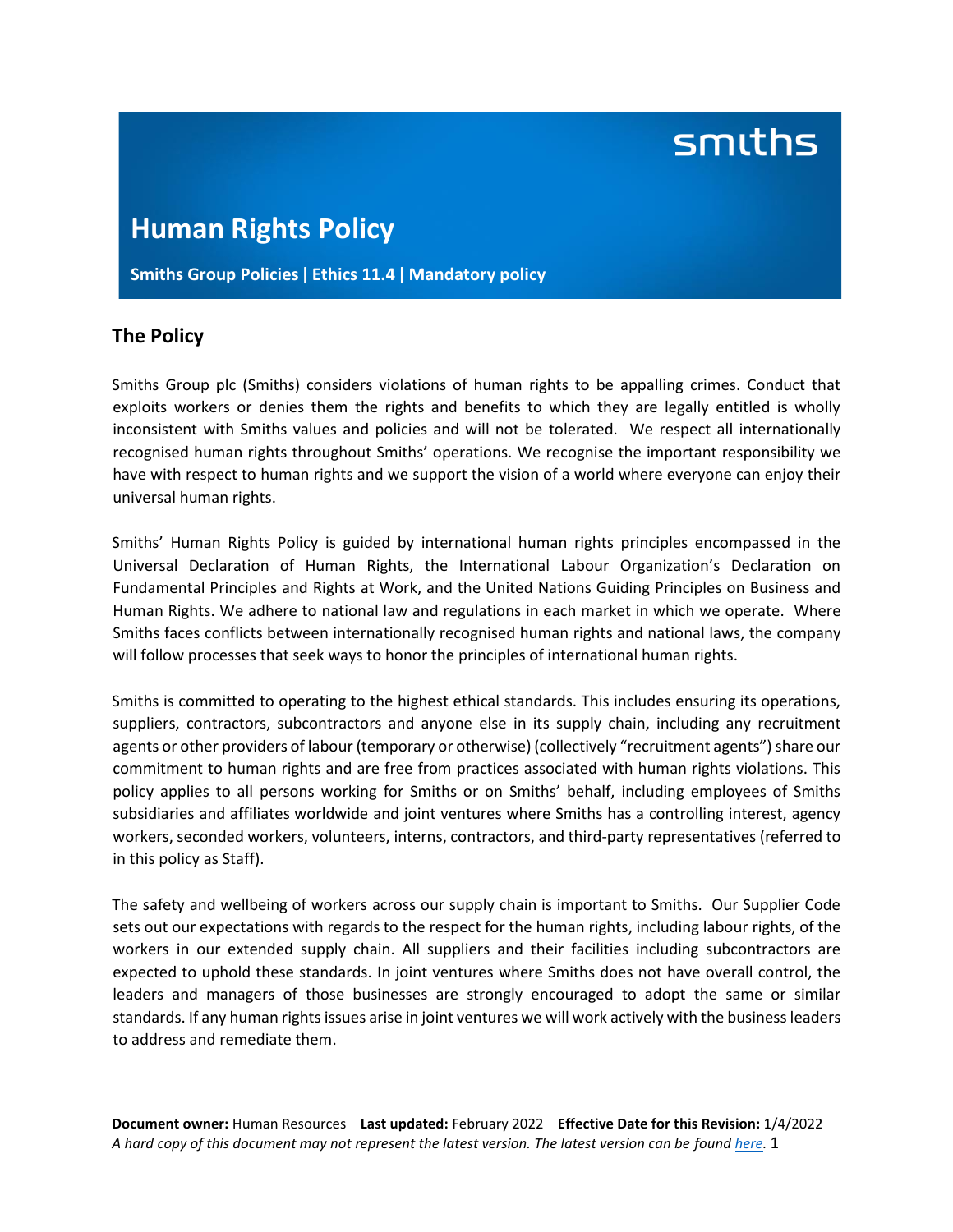# smiths

# **Human Rights Policy**

**Smiths Group Policies ǀ Ethics 11.4 ǀ Mandatory policy**

## **The Policy**

Smiths Group plc (Smiths) considers violations of human rights to be appalling crimes. Conduct that exploits workers or denies them the rights and benefits to which they are legally entitled is wholly inconsistent with Smiths values and policies and will not be tolerated. We respect all internationally recognised human rights throughout Smiths' operations. We recognise the important responsibility we have with respect to human rights and we support the vision of a world where everyone can enjoy their universal human rights.

Smiths' Human Rights Policy is guided by international human rights principles encompassed in the Universal Declaration of Human Rights, the International Labour Organization's Declaration on Fundamental Principles and Rights at Work, and the United Nations Guiding Principles on Business and Human Rights. We adhere to national law and regulations in each market in which we operate. Where Smiths faces conflicts between internationally recognised human rights and national laws, the company will follow processes that seek ways to honor the principles of international human rights.

Smiths is committed to operating to the highest ethical standards. This includes ensuring its operations, suppliers, contractors, subcontractors and anyone else in its supply chain, including any recruitment agents or other providers of labour (temporary or otherwise) (collectively "recruitment agents") share our commitment to human rights and are free from practices associated with human rights violations. This policy applies to all persons working for Smiths or on Smiths' behalf, including employees of Smiths subsidiaries and affiliates worldwide and joint ventures where Smiths has a controlling interest, agency workers, seconded workers, volunteers, interns, contractors, and third-party representatives (referred to in this policy as Staff).

The safety and wellbeing of workers across our supply chain is important to Smiths. Our Supplier Code sets out our expectations with regards to the respect for the human rights, including labour rights, of the workers in our extended supply chain. All suppliers and their facilities including subcontractors are expected to uphold these standards. In joint ventures where Smiths does not have overall control, the leaders and managers of those businesses are strongly encouraged to adopt the same or similar standards. If any human rights issues arise in joint ventures we will work actively with the business leaders to address and remediate them.

**Document owner:** Human Resources **Last updated:** February 2022 **Effective Date for this Revision:** 1/4/2022 *A hard copy of this document may not represent the latest version. The latest version can be found [here.](https://www.smiths.com/responsible-business/reports-and-policies)* 1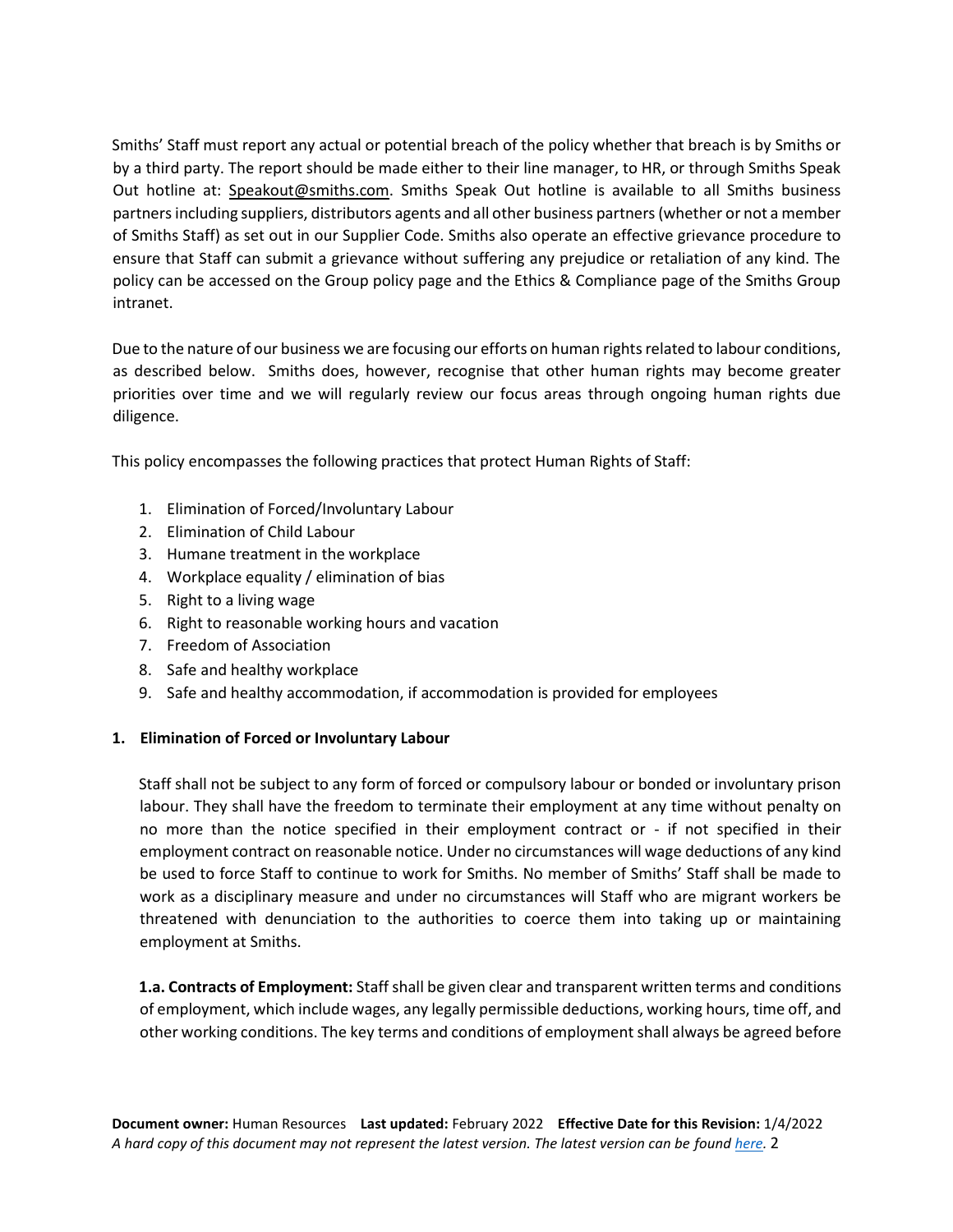Smiths' Staff must report any actual or potential breach of the policy whether that breach is by Smiths or by a third party. The report should be made either to their line manager, to HR, or through Smiths Speak Out hotline at: [Speakout@smiths.com.](mailto:Speakout@smiths.com) Smiths Speak Out hotline is available to all Smiths business partners including suppliers, distributors agents and all other business partners(whether or not a member of Smiths Staff) as set out in our Supplier Code. Smiths also operate an effective grievance procedure to ensure that Staff can submit a grievance without suffering any prejudice or retaliation of any kind. The policy can be accessed on the Group policy page and the Ethics & Compliance page of the Smiths Group intranet.

Due to the nature of our business we are focusing our efforts on human rights related to labour conditions, as described below. Smiths does, however, recognise that other human rights may become greater priorities over time and we will regularly review our focus areas through ongoing human rights due diligence.

This policy encompasses the following practices that protect Human Rights of Staff:

- 1. Elimination of Forced/Involuntary Labour
- 2. Elimination of Child Labour
- 3. Humane treatment in the workplace
- 4. Workplace equality / elimination of bias
- 5. Right to a living wage
- 6. Right to reasonable working hours and vacation
- 7. Freedom of Association
- 8. Safe and healthy workplace
- 9. Safe and healthy accommodation, if accommodation is provided for employees

### **1. Elimination of Forced or Involuntary Labour**

Staff shall not be subject to any form of forced or compulsory labour or bonded or involuntary prison labour. They shall have the freedom to terminate their employment at any time without penalty on no more than the notice specified in their employment contract or - if not specified in their employment contract on reasonable notice. Under no circumstances will wage deductions of any kind be used to force Staff to continue to work for Smiths. No member of Smiths' Staff shall be made to work as a disciplinary measure and under no circumstances will Staff who are migrant workers be threatened with denunciation to the authorities to coerce them into taking up or maintaining employment at Smiths.

**1.a. Contracts of Employment:** Staff shall be given clear and transparent written terms and conditions of employment, which include wages, any legally permissible deductions, working hours, time off, and other working conditions. The key terms and conditions of employment shall always be agreed before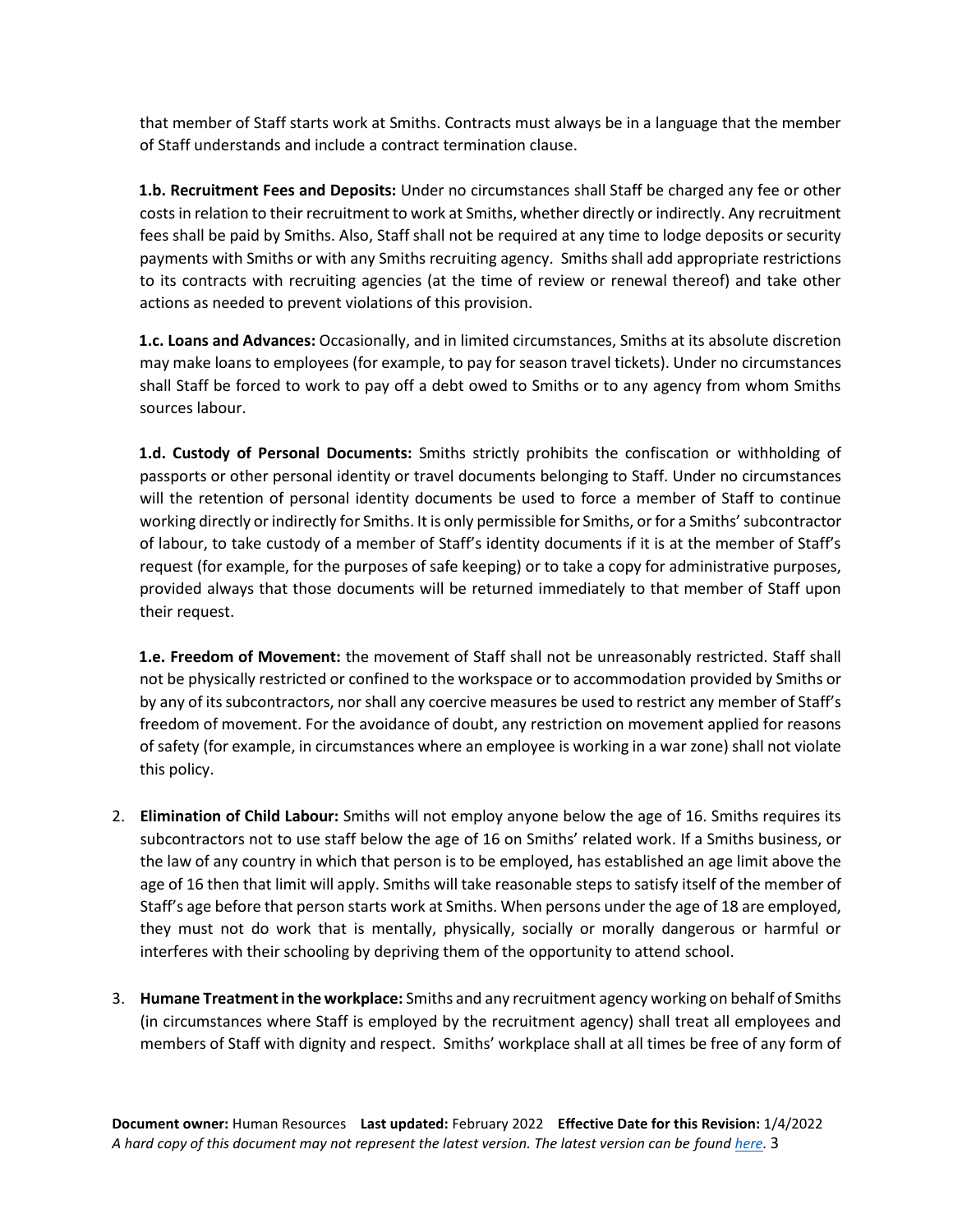that member of Staff starts work at Smiths. Contracts must always be in a language that the member of Staff understands and include a contract termination clause.

**1.b. Recruitment Fees and Deposits:** Under no circumstances shall Staff be charged any fee or other costs in relation to their recruitment to work at Smiths, whether directly or indirectly. Any recruitment fees shall be paid by Smiths. Also, Staff shall not be required at any time to lodge deposits or security payments with Smiths or with any Smiths recruiting agency. Smiths shall add appropriate restrictions to its contracts with recruiting agencies (at the time of review or renewal thereof) and take other actions as needed to prevent violations of this provision.

**1.c. Loans and Advances:** Occasionally, and in limited circumstances, Smiths at its absolute discretion may make loans to employees (for example, to pay for season travel tickets). Under no circumstances shall Staff be forced to work to pay off a debt owed to Smiths or to any agency from whom Smiths sources labour.

**1.d. Custody of Personal Documents:** Smiths strictly prohibits the confiscation or withholding of passports or other personal identity or travel documents belonging to Staff. Under no circumstances will the retention of personal identity documents be used to force a member of Staff to continue working directly or indirectly for Smiths. It is only permissible for Smiths, or for a Smiths' subcontractor of labour, to take custody of a member of Staff's identity documents if it is at the member of Staff's request (for example, for the purposes of safe keeping) or to take a copy for administrative purposes, provided always that those documents will be returned immediately to that member of Staff upon their request.

**1.e. Freedom of Movement:** the movement of Staff shall not be unreasonably restricted. Staff shall not be physically restricted or confined to the workspace or to accommodation provided by Smiths or by any of its subcontractors, nor shall any coercive measures be used to restrict any member of Staff's freedom of movement. For the avoidance of doubt, any restriction on movement applied for reasons of safety (for example, in circumstances where an employee is working in a war zone) shall not violate this policy.

- 2. **Elimination of Child Labour:** Smiths will not employ anyone below the age of 16. Smiths requires its subcontractors not to use staff below the age of 16 on Smiths' related work. If a Smiths business, or the law of any country in which that person is to be employed, has established an age limit above the age of 16 then that limit will apply. Smiths will take reasonable steps to satisfy itself of the member of Staff's age before that person starts work at Smiths. When persons under the age of 18 are employed, they must not do work that is mentally, physically, socially or morally dangerous or harmful or interferes with their schooling by depriving them of the opportunity to attend school.
- 3. **Humane Treatment in the workplace:** Smiths and any recruitment agency working on behalf of Smiths (in circumstances where Staff is employed by the recruitment agency) shall treat all employees and members of Staff with dignity and respect. Smiths' workplace shall at all times be free of any form of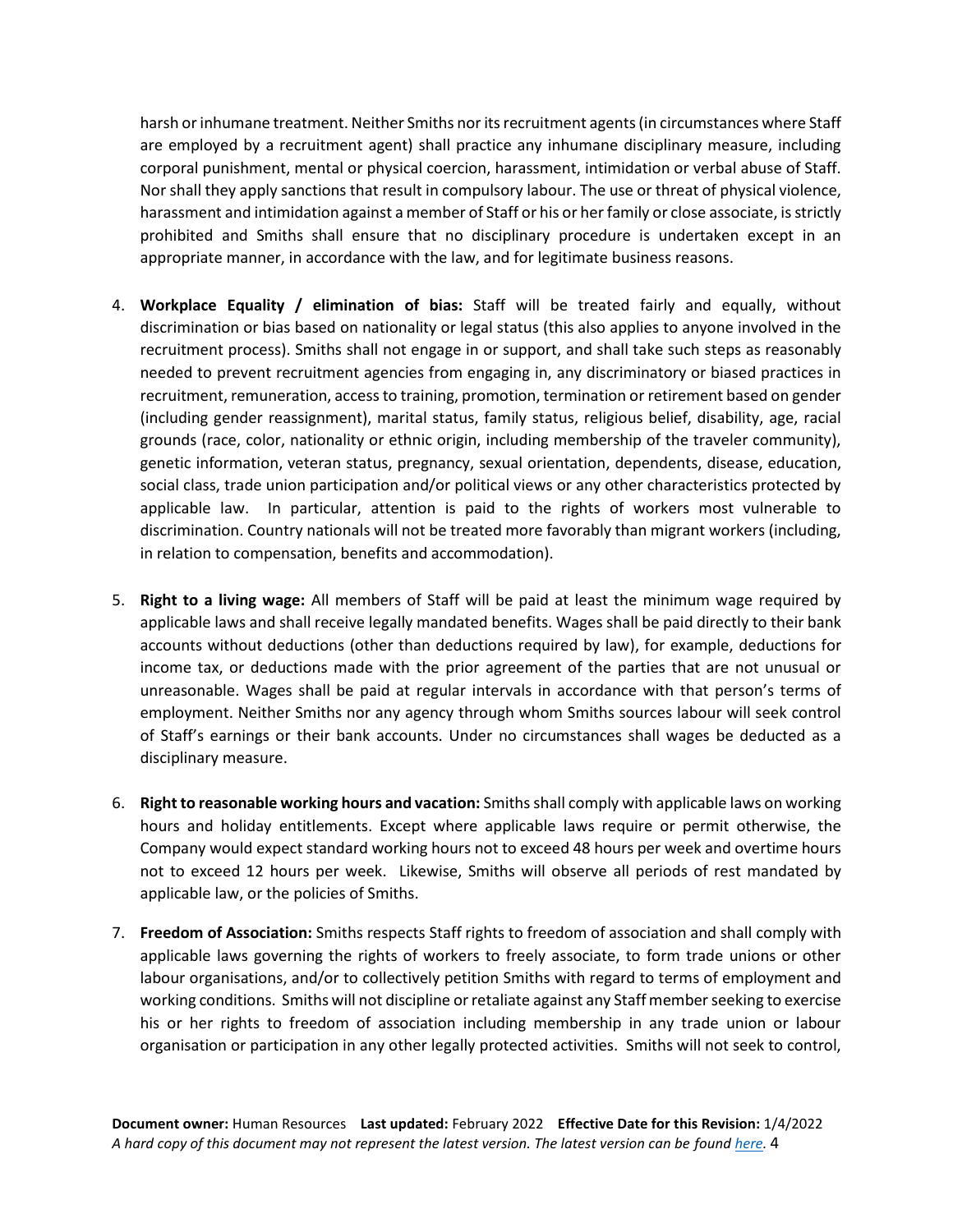harsh or inhumane treatment. Neither Smiths nor its recruitment agents (in circumstances where Staff are employed by a recruitment agent) shall practice any inhumane disciplinary measure, including corporal punishment, mental or physical coercion, harassment, intimidation or verbal abuse of Staff. Nor shall they apply sanctions that result in compulsory labour. The use or threat of physical violence, harassment and intimidation against a member of Staff or his or her family or close associate, is strictly prohibited and Smiths shall ensure that no disciplinary procedure is undertaken except in an appropriate manner, in accordance with the law, and for legitimate business reasons.

- 4. **Workplace Equality / elimination of bias:** Staff will be treated fairly and equally, without discrimination or bias based on nationality or legal status (this also applies to anyone involved in the recruitment process). Smiths shall not engage in or support, and shall take such steps as reasonably needed to prevent recruitment agencies from engaging in, any discriminatory or biased practices in recruitment, remuneration, access to training, promotion, termination or retirement based on gender (including gender reassignment), marital status, family status, religious belief, disability, age, racial grounds (race, color, nationality or ethnic origin, including membership of the traveler community), genetic information, veteran status, pregnancy, sexual orientation, dependents, disease, education, social class, trade union participation and/or political views or any other characteristics protected by applicable law. In particular, attention is paid to the rights of workers most vulnerable to discrimination. Country nationals will not be treated more favorably than migrant workers (including, in relation to compensation, benefits and accommodation).
- 5. **Right to a living wage:** All members of Staff will be paid at least the minimum wage required by applicable laws and shall receive legally mandated benefits. Wages shall be paid directly to their bank accounts without deductions (other than deductions required by law), for example, deductions for income tax, or deductions made with the prior agreement of the parties that are not unusual or unreasonable. Wages shall be paid at regular intervals in accordance with that person's terms of employment. Neither Smiths nor any agency through whom Smiths sources labour will seek control of Staff's earnings or their bank accounts. Under no circumstances shall wages be deducted as a disciplinary measure.
- 6. **Right to reasonable working hours and vacation:** Smiths shall comply with applicable laws on working hours and holiday entitlements. Except where applicable laws require or permit otherwise, the Company would expect standard working hours not to exceed 48 hours per week and overtime hours not to exceed 12 hours per week. Likewise, Smiths will observe all periods of rest mandated by applicable law, or the policies of Smiths.
- 7. **Freedom of Association:** Smiths respects Staff rights to freedom of association and shall comply with applicable laws governing the rights of workers to freely associate, to form trade unions or other labour organisations, and/or to collectively petition Smiths with regard to terms of employment and working conditions. Smiths will not discipline or retaliate against any Staff member seeking to exercise his or her rights to freedom of association including membership in any trade union or labour organisation or participation in any other legally protected activities. Smiths will not seek to control,